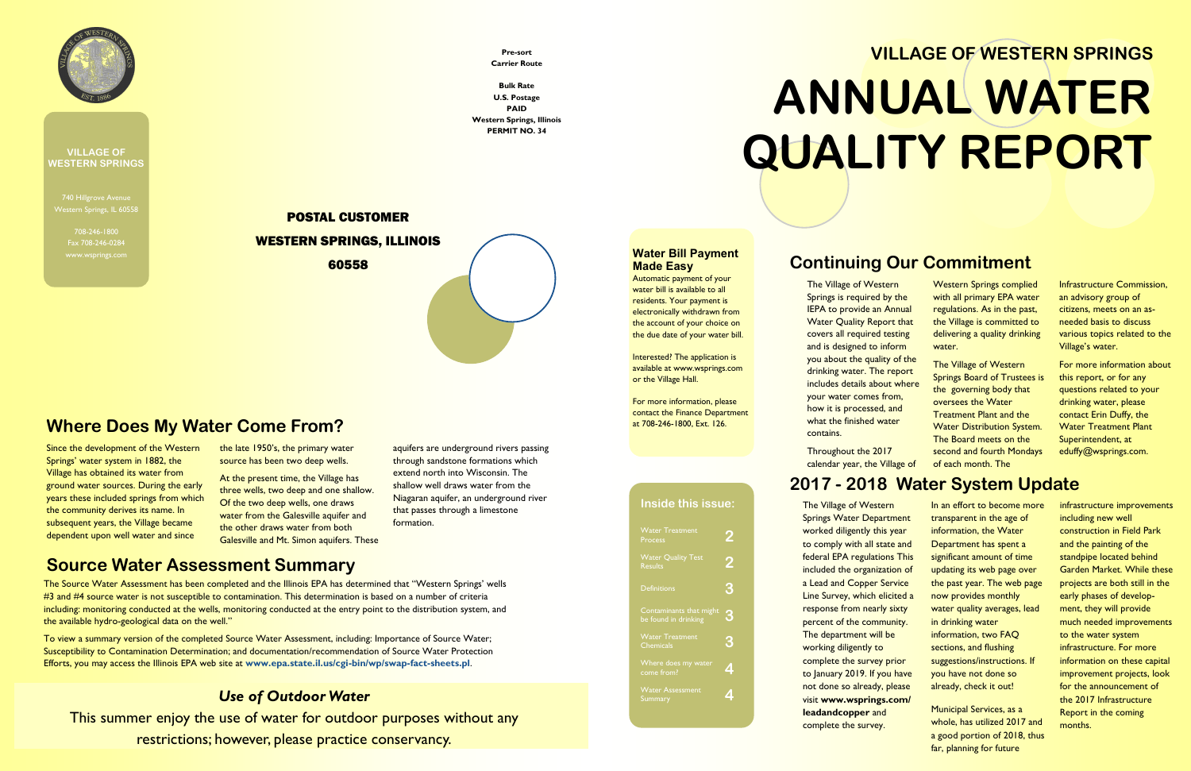740 Hillgrove Avenue Western Springs, IL 60558

> 708-246-1800 Fax 708-246-0284



#### **VILLAGE OF WESTERN SPRINGS**

### **Continuing Our Commitment**

The Village of Western Springs is required by the IEPA to provide an Annual Water Quality Report that covers all required testing and is designed to inform you about the quality of the drinking water. The report includes details about where your water comes from, how it is processed, and what the finished water contains.

Throughout the 2017 calendar year, the Village of

Western Springs complied with all primary EPA water regulations. As in the past, the Village is committed to delivering a quality drinking water.

The Village of Western Springs Board of Trustees is the governing body that oversees the Water Treatment Plant and the Water Distribution System. The Board meets on the second and fourth Mondays of each month. The

Infrastructure Commission, an advisory group of citizens, meets on an asneeded basis to discuss various topics related to the Village's water.

For more information about this report, or for any questions related to your drinking water, please contact Erin Duffy, the Water Treatment Plant Superintendent, at eduffy@wsprings.com.

# **2017 - 2018 Water System Update**

| <b>Water Treatment</b><br><b>Process</b>        |   |
|-------------------------------------------------|---|
| <b>Water Quality Test</b><br><b>Results</b>     | 2 |
| <b>Definitions</b>                              | З |
| Contaminants that might<br>be found in drinking | 3 |
| <b>Water Treatment</b><br><b>Chemicals</b>      | 3 |
| <b>Where does my water</b><br>come from?        |   |
| <b>Water Assessment</b><br>Summary              |   |
|                                                 |   |

The Village of Western Springs Water Department worked diligently this year to comply with all state and federal EPA regulations This included the organization of a Lead and Copper Service Line Survey, which elicited a response from nearly sixty percent of the community. The department will be working diligently to complete the survey prior to January 2019. If you have not done so already, please visit **www.wsprings.com/ leadandcopper** and complete the survey.

In an effort to become more transparent in the age of information, the Water Department has spent a significant amount of time updating its web page over the past year. The web page now provides monthly water quality averages, lead in drinking water information, two FAQ sections, and flushing suggestions/instructions. If you have not done so already, check it out!

At the present time, the Village has three wells, two deep and one shallow. Of the two deep wells, one draws water from the Galesville aquifer and the other draws water from both Galesville and Mt. Simon aquifers. These aquifers are underground rivers passing through sandstone formations which extend north into Wisconsin. The shallow well draws water from the Niagaran aquifer, an underground river that passes through a limestone formation.

> Municipal Services, as a whole, has utilized 2017 and a good portion of 2018, thus far, planning for future

infrastructure improvements including new well construction in Field Park and the painting of the standpipe located behind Garden Market. While these projects are both still in the early phases of development, they will provide much needed improvements to the water system infrastructure. For more information on these capital improvement projects, look for the announcement of the 2017 Infrastructure Report in the coming months.

# **VILLAGE OF WESTERN SPRINGS ANNUAL WATER QUALITY REPORT**

#### **Inside this issue:**

#### **Water Bill Payment Made Easy**

Automatic payment of your water bill is available to all residents. Your payment is electronically withdrawn from the account of your choice on the due date of your water bill.

Interested? The application is available at www.wsprings.com or the Village Hall.

For more information, please contact the Finance Department at 708-246-1800, Ext. 126.

Since the development of the Western Springs' water system in 1882, the Village has obtained its water from ground water sources. During the early years these included springs from which the community derives its name. In subsequent years, the Village became dependent upon well water and since

the late 1950's, the primary water source has been two deep wells.

#### **Where Does My Water Come From?**

**Pre-sort Carrier Route**

**Bulk Rate U.S. Postage PAID Western Springs, Illinois PERMIT NO. 34**

# POSTAL CUSTOMER WESTERN SPRINGS, ILLINOIS 60558

#### **Source Water Assessment Summary**

The Source Water Assessment has been completed and the Illinois EPA has determined that "Western Springs' wells #3 and #4 source water is not susceptible to contamination. This determination is based on a number of criteria including: monitoring conducted at the wells, monitoring conducted at the entry point to the distribution system, and the available hydro-geological data on the well."

To view a summary version of the completed Source Water Assessment, including: Importance of Source Water; Susceptibility to Contamination Determination; and documentation/recommendation of Source Water Protection Efforts, you may access the Illinois EPA web site at **www.epa.state.il.us/cgi-bin/wp/swap-fact-sheets.pl**.

#### *Use of Outdoor Water*

This summer enjoy the use of water for outdoor purposes without any restrictions; however, please practice conservancy.